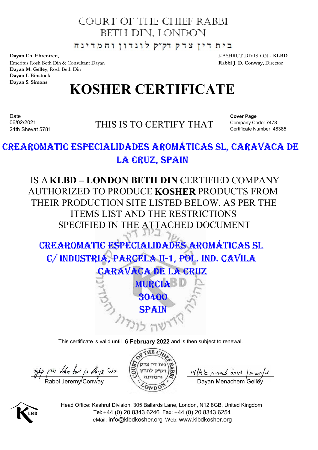Dayan Ch. Ehrentreu, and the state of the state of the state of the KASHRUT DIVISION - **KLBD** Emeritus Rosh Beth Din & Consultant Dayan Rabbi J. D. Conway, Director Dayan M. Gelley, Rosh Beth Din Dayan I. Binstock Dayan S. Simons

# KOSHER CERTIFICATE

Date and the contract of the contract of the contract of the contract of the contract of the contract of the contract of the contract of the contract of the contract of the contract of the contract of the contract of the c 24th Shevat 5781

THIS IS TO CERTIFY THAT 06/02/2021

Cover Page Company Code: 7478

# 1<br>
HRUT DIVISION - **KLBD**<br>
id J. D. Conway, Director<br>
Cover Page<br>
Company Code: 7478<br>
Certificate Number: 48385<br> **CARAVACA DE**

IS AKLBD – LONDON BETH DIN CERTIFIED COMPANY AUTHORIZED TO PRODUCE KOSHER PRODUCTS FROM CREAM SERVEL **EXECUTED SITE LISTED BELOW, AS PER THE**<br>
Simons<br>
Simons<br>
Simons<br> **THIS IS TO CERTIFY THAT**<br>
COMATIC ESPECIALIDADES AROMÁTICAS SL, CARAVACA DE<br>
LA CRUZ, SPAIN<br>
IS A KLBD – LONDON BETH DIN CERTIFIED COMPANY<br>
N ITEMS LIST AND THE RESTRICTIONS SPECIFIED IN THE ATTACHED DOCUMENT

C/INDUSTRIA, PARCELA II-1, POL. IND. CAVILA



This certificate is valid until 6 February 2022 and is then subject to renewal.

 $\frac{m}{\sqrt{2}}$   $\frac{m}{\sqrt{2}}$   $\frac{m}{\sqrt{2}}$   $\frac{m}{\sqrt{2}}$   $\frac{m}{\sqrt{2}}$   $\frac{m}{\sqrt{2}}$   $\frac{m}{\sqrt{2}}$   $\frac{m}{\sqrt{2}}$   $\frac{m}{\sqrt{2}}$   $\frac{m}{\sqrt{2}}$   $\frac{m}{\sqrt{2}}$   $\frac{m}{\sqrt{2}}$   $\frac{m}{\sqrt{2}}$   $\frac{m}{\sqrt{2}}$  Dayan Menachem Gelley



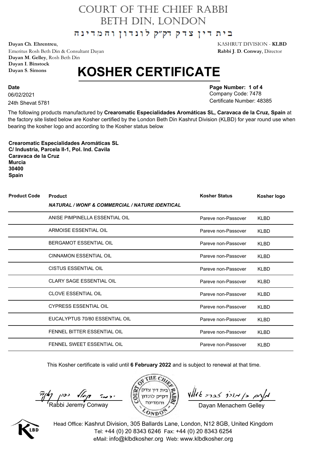בית דין צדק דק״ק לונדון והמדינה

**Dayan Ch**. **Ehrentreu**, KASHRUT DIVISION - **KLBD**

Emeritus Rosh Beth Din & Consultant Dayan **Rabbi J**. **D**. **Conway**, Director **Dayan M**. **Gelley**, Rosh Beth Din **Dayan I**. **Binstock Dayan S**. **Simons**

# **KOSHER CERTIFICATE**

06/02/2021 **Date** 24th Shevat 5781

**Page Number: 1 of 4** Company Code: 7478 Certificate Number: 48385

The following products manufactured by **Crearomatic Especialidades Aromáticas SL, Caravaca de la Cruz, Spain** at the factory site listed below are Kosher certified by the London Beth Din Kashrut Division (KLBD) for year round use when bearing the kosher logo and according to the Kosher status below.

**Crearomatic Especialidades Aromáticas SL C/ Industria, Parcela II-1, Pol. Ind. Cavila Caravaca de la Cruz Murcia 30400 Spain**

| <b>Product Code</b> | <b>Product</b>                                            | <b>Kosher Status</b> | Kosher logo |
|---------------------|-----------------------------------------------------------|----------------------|-------------|
|                     | <b>NATURAL / WONF &amp; COMMERCIAL / NATURE IDENTICAL</b> |                      |             |
|                     | ANISE PIMPINELLA ESSENTIAL OIL                            | Pareve non-Passover  | <b>KLBD</b> |
|                     | ARMOISE ESSENTIAL OIL                                     | Pareve non-Passover  | <b>KLBD</b> |
|                     | BERGAMOT ESSENTIAL OIL                                    | Pareve non-Passover  | <b>KLBD</b> |
|                     | <b>CINNAMON ESSENTIAL OIL</b>                             | Pareve non-Passover  | <b>KLBD</b> |
|                     | <b>CISTUS ESSENTIAL OIL</b>                               | Pareve non-Passover  | <b>KLBD</b> |
|                     | <b>CLARY SAGE ESSENTIAL OIL</b>                           | Pareve non-Passover  | <b>KLBD</b> |
|                     | <b>CLOVE ESSENTIAL OIL</b>                                | Pareve non-Passover  | <b>KLBD</b> |
|                     | <b>CYPRESS ESSENTIAL OIL</b>                              | Pareve non-Passover  | <b>KLBD</b> |
|                     | EUCALYPTUS 70/80 ESSENTIAL OIL                            | Pareve non-Passover  | <b>KLBD</b> |
|                     | FENNEL BITTER ESSENTIAL OIL                               | Pareve non-Passover  | KLBD        |
|                     | FENNEL SWEET ESSENTIAL OIL                                | Pareve non-Passover  | <b>KLBD</b> |

This Kosher certificate is valid until **6 February 2022** and is subject to renewal at that time.

 $\frac{\pi}{\sqrt{2}}$   $\left(\frac{2}{\sqrt{2}}\right)$   $\left(\frac{2}{\sqrt{2}}\right)$   $\left(\frac{2}{\sqrt{2}}\right)$   $\left(\frac{2}{\sqrt{2}}\right)$   $\left(\frac{2}{\sqrt{2}}\right)$   $\left(\frac{2}{\sqrt{2}}\right)$   $\left(\frac{2}{\sqrt{2}}\right)$   $\left(\frac{2}{\sqrt{2}}\right)$   $\left(\frac{2}{\sqrt{2}}\right)$   $\left(\frac{2}{\sqrt{2}}\right)$   $\left(\frac{2}{\sqrt{2}}\right)$   $\left(\frac{2}{\sqrt$ 





 $\n *where*  $\frac{1}{2}$$ 

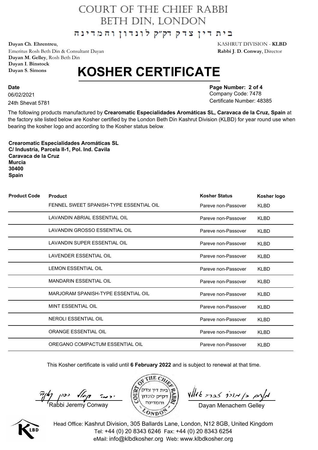בית דין צדק דק״ק לונדון והמדינה

**Dayan Ch**. **Ehrentreu**, KASHRUT DIVISION - **KLBD**

Emeritus Rosh Beth Din & Consultant Dayan **Rabbi J**. **D**. **Conway**, Director **Dayan M**. **Gelley**, Rosh Beth Din **Dayan I**. **Binstock Dayan S**. **Simons**

# **KOSHER CERTIFICATE**

06/02/2021 **Date** 24th Shevat 5781

**Page Number: 2 of 4** Company Code: 7478 Certificate Number: 48385

The following products manufactured by **Crearomatic Especialidades Aromáticas SL, Caravaca de la Cruz, Spain** at the factory site listed below are Kosher certified by the London Beth Din Kashrut Division (KLBD) for year round use when bearing the kosher logo and according to the Kosher status below.

**Crearomatic Especialidades Aromáticas SL C/ Industria, Parcela II-1, Pol. Ind. Cavila Caravaca de la Cruz Murcia 30400 Spain**

| <b>Product Code</b> | <b>Product</b>                          | <b>Kosher Status</b> | Kosher logo |
|---------------------|-----------------------------------------|----------------------|-------------|
|                     | FENNEL SWEET SPANISH-TYPE ESSENTIAL OIL | Pareve non-Passover  | <b>KLBD</b> |
|                     | LAVANDIN ABRIAL ESSENTIAL OIL           | Pareve non-Passover  | <b>KLBD</b> |
|                     | LAVANDIN GROSSO ESSENTIAL OIL           | Pareve non-Passover  | <b>KLBD</b> |
|                     | LAVANDIN SUPER ESSENTIAL OIL            | Pareve non-Passover  | <b>KLBD</b> |
|                     | <b>LAVENDER ESSENTIAL OIL</b>           | Pareve non-Passover  | <b>KLBD</b> |
|                     | <b>LEMON ESSENTIAL OIL</b>              | Pareve non-Passover  | <b>KLBD</b> |
|                     | <b>MANDARIN ESSENTIAL OIL</b>           | Pareve non-Passover  | <b>KLBD</b> |
|                     | MARJORAM SPANISH-TYPE ESSENTIAL OIL     | Pareve non-Passover  | <b>KLBD</b> |
|                     | MINT ESSENTIAL OIL                      | Pareve non-Passover  | <b>KLBD</b> |
|                     | NEROLI ESSENTIAL OIL                    | Pareve non-Passover  | <b>KLBD</b> |
|                     | ORANGE ESSENTIAL OIL                    | Pareve non-Passover  | <b>KLBD</b> |
|                     | OREGANO COMPACTUM ESSENTIAL OIL         | Pareve non-Passover  | <b>KLBD</b> |

This Kosher certificate is valid until **6 February 2022** and is subject to renewal at that time.

 $\frac{\pi}{\sqrt{2}}$   $\left(\frac{2}{\sqrt{2}}\right)$   $\left(\frac{2}{\sqrt{2}}\right)$   $\left(\frac{2}{\sqrt{2}}\right)$   $\left(\frac{2}{\sqrt{2}}\right)$   $\left(\frac{2}{\sqrt{2}}\right)$   $\left(\frac{2}{\sqrt{2}}\right)$   $\left(\frac{2}{\sqrt{2}}\right)$   $\left(\frac{2}{\sqrt{2}}\right)$   $\left(\frac{2}{\sqrt{2}}\right)$   $\left(\frac{2}{\sqrt{2}}\right)$   $\left(\frac{2}{\sqrt{2}}\right)$   $\left(\frac{2}{\sqrt$ 





 $y$ //pg  $\epsilon$ /  $\kappa$ /ick  $\epsilon$   $\kappa$ /re

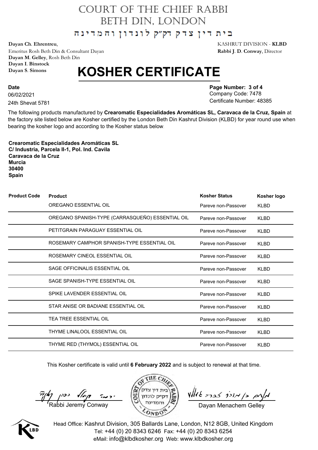בית דין צדק דק"ק לונדון והמדינה

**Dayan Ch**. **Ehrentreu**, KASHRUT DIVISION - **KLBD**

Emeritus Rosh Beth Din & Consultant Dayan **Rabbi J**. **D**. **Conway**, Director **Dayan M**. **Gelley**, Rosh Beth Din **Dayan I**. **Binstock Dayan S**. **Simons**

# **KOSHER CERTIFICATE**

06/02/2021 **Date** 24th Shevat 5781

**Page Number: 3 of 4** Company Code: 7478 Certificate Number: 48385

The following products manufactured by **Crearomatic Especialidades Aromáticas SL, Caravaca de la Cruz, Spain** at the factory site listed below are Kosher certified by the London Beth Din Kashrut Division (KLBD) for year round use when bearing the kosher logo and according to the Kosher status below.

**Crearomatic Especialidades Aromáticas SL C/ Industria, Parcela II-1, Pol. Ind. Cavila Caravaca de la Cruz Murcia 30400 Spain**

| <b>Product Code</b> | <b>Product</b>                                   | <b>Kosher Status</b> | Kosher logo |
|---------------------|--------------------------------------------------|----------------------|-------------|
|                     | OREGANO ESSENTIAL OIL                            | Pareve non-Passover  | <b>KLBD</b> |
|                     | OREGANO SPANISH-TYPE (CARRASQUEÑO) ESSENTIAL OIL | Pareve non-Passover  | <b>KLBD</b> |
|                     | PETITGRAIN PARAGUAY ESSENTIAL OIL                | Pareve non-Passover  | <b>KLBD</b> |
|                     | ROSEMARY CAMPHOR SPANISH-TYPE ESSENTIAL OIL      | Pareve non-Passover  | <b>KLBD</b> |
|                     | ROSEMARY CINEOL ESSENTIAL OIL                    | Pareve non-Passover  | <b>KLBD</b> |
|                     | SAGE OFFICINALIS ESSENTIAL OIL                   | Pareve non-Passover  | <b>KLBD</b> |
|                     | SAGE SPANISH-TYPE ESSENTIAL OIL                  | Pareve non-Passover  | <b>KLBD</b> |
|                     | SPIKE LAVENDER ESSENTIAL OIL                     | Pareve non-Passover  | <b>KLBD</b> |
|                     | STAR ANISE OR BADIANE ESSENTIAL OIL              | Pareve non-Passover  | <b>KLBD</b> |
|                     | TEA TREE ESSENTIAL OIL                           | Pareve non-Passover  | <b>KLBD</b> |
|                     | THYME LINALOOL ESSENTIAL OIL                     | Pareve non-Passover  | <b>KLBD</b> |
|                     | THYME RED (THYMOL) ESSENTIAL OIL                 | Pareve non-Passover  | <b>KLBD</b> |

This Kosher certificate is valid until **6 February 2022** and is subject to renewal at that time.

 $\frac{\pi}{\sqrt{2}}$   $\left(\frac{2}{\sqrt{2}}\right)$   $\left(\frac{2}{\sqrt{2}}\right)$   $\left(\frac{2}{\sqrt{2}}\right)$   $\left(\frac{2}{\sqrt{2}}\right)$   $\left(\frac{2}{\sqrt{2}}\right)$   $\left(\frac{2}{\sqrt{2}}\right)$   $\left(\frac{2}{\sqrt{2}}\right)$   $\left(\frac{2}{\sqrt{2}}\right)$   $\left(\frac{2}{\sqrt{2}}\right)$   $\left(\frac{2}{\sqrt{2}}\right)$   $\left(\frac{2}{\sqrt{2}}\right)$   $\left(\frac{2}{\sqrt$ 





 $y$ //pg  $\epsilon$ /  $\kappa$ /ick  $\epsilon$   $\kappa$ /re